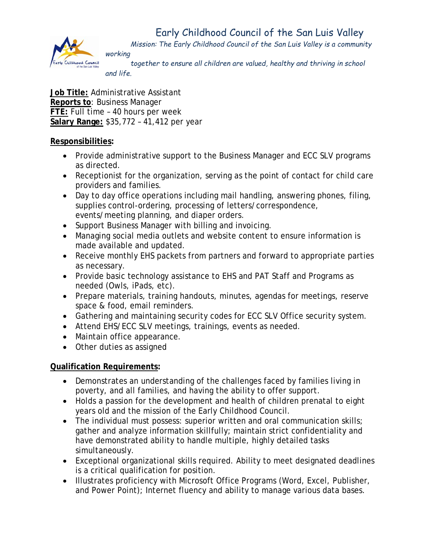## Early Childhood Council of the San Luis Valley



*Mission: The Early Childhood Council of the San Luis Valley is a community working*

*together to ensure all children are valued, healthy and thriving in school and life.*

**Job Title:** Administrative Assistant **Reports to**: Business Manager **FTE:** Full time – 40 hours per week **Salary Range:** \$35,772 – 41,412 per year

## **Responsibilities:**

- Provide administrative support to the Business Manager and ECC SLV programs as directed.
- Receptionist for the organization, serving as the point of contact for child care providers and families.
- Day to day office operations including mail handling, answering phones, filing, supplies control-ordering, processing of letters/correspondence, events/meeting planning, and diaper orders.
- Support Business Manager with billing and invoicing.
- Managing social media outlets and website content to ensure information is made available and updated.
- Receive monthly EHS packets from partners and forward to appropriate parties as necessary.
- Provide basic technology assistance to EHS and PAT Staff and Programs as needed (Owls, iPads, etc).
- Prepare materials, training handouts, minutes, agendas for meetings, reserve space & food, email reminders.
- Gathering and maintaining security codes for ECC SLV Office security system.
- Attend EHS/ECC SLV meetings, trainings, events as needed.
- Maintain office appearance.
- Other duties as assigned

## **Qualification Requirements:**

- Demonstrates an understanding of the challenges faced by families living in poverty, and all families, and having the ability to offer support.
- Holds a passion for the development and health of children prenatal to eight years old and the mission of the Early Childhood Council.
- The individual must possess: superior written and oral communication skills; gather and analyze information skillfully; maintain strict confidentiality and have demonstrated ability to handle multiple, highly detailed tasks simultaneously.
- Exceptional organizational skills required. Ability to meet designated deadlines is a critical qualification for position.
- Illustrates proficiency with Microsoft Office Programs (Word, Excel, Publisher, and Power Point); Internet fluency and ability to manage various data bases.